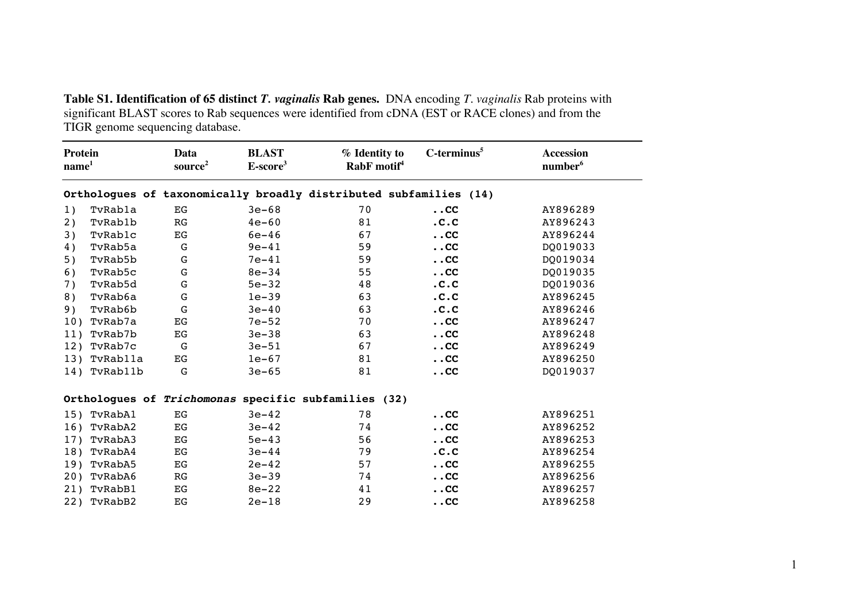**Table S1. Identification of 65 distinct** *T. vaginalis* **Rab genes.** DNA encoding *T. vaginalis* Rab proteins with significant BLAST scores to Rab sequences were identified from cDNA (EST or RACE clones) and from the TIGR genome sequencing database.

| <b>Protein</b><br>name <sup>1</sup> |             | Data<br>source <sup>2</sup> | <b>BLAST</b><br>$E-score3$ | % Identity to<br>RabF motif <sup>4</sup>                          | $C$ -terminus $5$                  | <b>Accession</b><br>number <sup>6</sup> |
|-------------------------------------|-------------|-----------------------------|----------------------------|-------------------------------------------------------------------|------------------------------------|-----------------------------------------|
|                                     |             |                             |                            | Orthologues of taxonomically broadly distributed subfamilies (14) |                                    |                                         |
| 1)                                  | TvRabla     | EG                          | $3e-68$                    | 70                                                                | $\overline{\phantom{a}}$ . CC      | AY896289                                |
| 2)                                  | TvRab1b     | RG                          | $4e - 60$                  | 81                                                                | .C.C                               | AY896243                                |
| 3)                                  | TvRablc     | EG                          | $6e-46$                    | 67                                                                | $\ldots$ CC                        | AY896244                                |
| 4)                                  | TvRab5a     | ${\bf G}$                   | $9e-41$                    | 59                                                                | $\ldots$ CC                        | DQ019033                                |
| 5)                                  | TvRab5b     | ${\bf G}$                   | $7e-41$                    | 59                                                                | . . <sub>CC</sub>                  | DQ019034                                |
| 6)                                  | TvRab5c     | ${\bf G}$                   | $8e - 34$                  | 55                                                                | $\ldots$ CC                        | DQ019035                                |
| 7)                                  | TvRab5d     | ${\bf G}$                   | $5e-32$                    | 48                                                                | .C.C                               | DQ019036                                |
| 8)                                  | TvRab6a     | ${\bf G}$                   | $1e-39$                    | 63                                                                | .C.C                               | AY896245                                |
| 9)                                  | TvRab6b     | G                           | $3e-40$                    | 63                                                                | .C.C                               | AY896246                                |
| 10)                                 | TvRab7a     | EG                          | $7e-52$                    | 70                                                                | $\ldots$ CC                        | AY896247                                |
| 11)                                 | TvRab7b     | EG                          | $3e-38$                    | 63                                                                | $. <$ CC                           | AY896248                                |
| 12)                                 | TvRab7c     | G                           | $3e-51$                    | 67                                                                | $\ldots$ CC                        | AY896249                                |
| 13)                                 | TvRab11a    | EG                          | $1e-67$                    | 81                                                                | $\ldots$ CC                        | AY896250                                |
| 14)                                 | TvRab11b    | G                           | $3e-65$                    | 81                                                                | $\ldots$ CC                        | DQ019037                                |
|                                     |             |                             |                            | Orthologues of Trichomonas specific subfamilies (32)              |                                    |                                         |
| 15)                                 | TvRabA1     | EG                          | $3e-42$                    | 78                                                                | $\ldots$ CC                        | AY896251                                |
| 16)                                 | TvRabA2     | EG                          | $3e-42$                    | 74                                                                | . <c< td=""><td>AY896252</td></c<> | AY896252                                |
| 17)                                 | TvRabA3     | EG                          | $5e-43$                    | 56                                                                | $\ldots$ CC                        | AY896253                                |
| 18)                                 | TvRabA4     | EG                          | $3e-44$                    | 79                                                                | .C.C                               | AY896254                                |
| 19)                                 | TvRabA5     | EG                          | $2e-42$                    | 57                                                                | $\ldots$ CC                        | AY896255                                |
| 20)                                 | TvRabA6     | RG                          | $3e - 39$                  | 74                                                                | $\ldots$ CC                        | AY896256                                |
| 21)                                 | TvRabB1     | EG                          | $8e-22$                    | 41                                                                | $\ldots$ CC                        | AY896257                                |
|                                     | 22) TvRabB2 | EG                          | $2e-18$                    | 29                                                                | $\ldots$ CC                        | AY896258                                |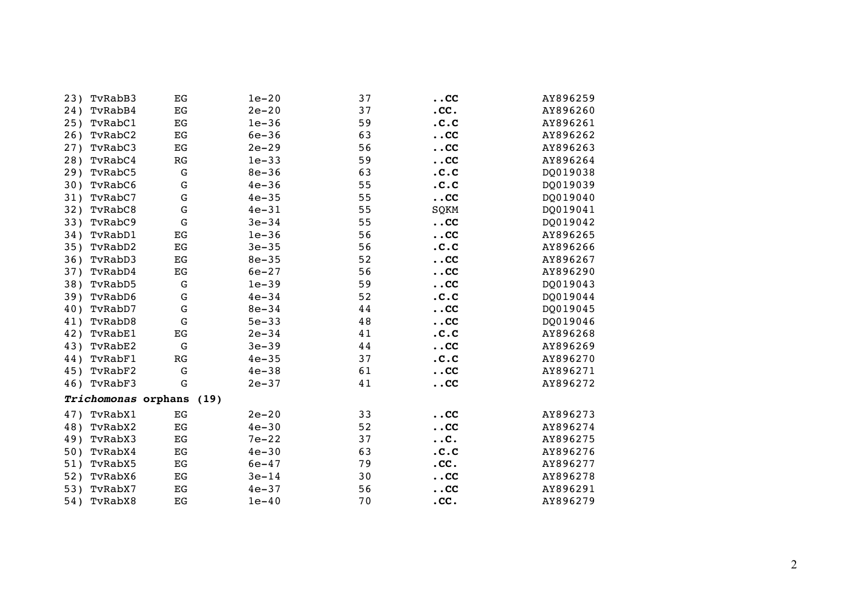| 23) | TvRabB3             | EG          | $1e-20$   | 37 | $\overline{\mathbf{.}}$ . CC       | AY896259 |
|-----|---------------------|-------------|-----------|----|------------------------------------|----------|
| 24) | TvRabB4             | EG          | $2e-20$   | 37 | $.$ CC $.$                         | AY896260 |
| 25) | TvRabC1             | EG          | $1e-36$   | 59 | .C.C                               | AY896261 |
| 26) | TvRabC2             | EG          | $6e-36$   | 63 | $\ldots$ CC                        | AY896262 |
| 27) | TvRabC3             | $_{\rm EG}$ | $2e-29$   | 56 | $. CC$                             | AY896263 |
| 28) | TvRabC4             | RG          | $1e-33$   | 59 | . <c< td=""><td>AY896264</td></c<> | AY896264 |
| 29) | TvRabC5             | G           | $8e - 36$ | 63 | .C.C                               | DQ019038 |
| 30) | TvRabC6             | G           | $4e-36$   | 55 | .C.C                               | DQ019039 |
| 31) | TvRabC7             | $\mathbf G$ | $4e - 35$ | 55 | $\ldots$ CC                        | DQ019040 |
| 32) | TvRabC8             | G           | $4e-31$   | 55 | SQKM                               | DQ019041 |
| 33) | TvRabC9             | G           | $3e-34$   | 55 | $\ldots$ CC                        | DQ019042 |
| 34) | TvRabD1             | EG          | $1e-36$   | 56 | $\ldots$ CC                        | AY896265 |
| 35) | TvRabD2             | EG          | $3e - 35$ | 56 | .C.C                               | AY896266 |
| 36) | TvRabD3             | EG          | $8e - 35$ | 52 | . <c< td=""><td>AY896267</td></c<> | AY896267 |
| 37) | TvRabD4             | $_{\rm EG}$ | $6e - 27$ | 56 | . <c< td=""><td>AY896290</td></c<> | AY896290 |
| 38) | TvRabD5             | G           | $1e-39$   | 59 | . <c< td=""><td>DQ019043</td></c<> | DQ019043 |
| 39) | TvRabD6             | $\mathbf G$ | $4e - 34$ | 52 | .C.C                               | DQ019044 |
| 40) | TvRabD7             | G           | $8e - 34$ | 44 | . <c< td=""><td>DQ019045</td></c<> | DQ019045 |
| 41) | TvRabD8             | G           | $5e - 33$ | 48 | . <c< td=""><td>DQ019046</td></c<> | DQ019046 |
| 42) | TvRabE1             | EG          | $2e-34$   | 41 | .C.C                               | AY896268 |
| 43) | TvRabE2             | $\mathbf G$ | $3e - 39$ | 44 | $. CC$                             | AY896269 |
| 44) | TvRabF1             | RG          | $4e - 35$ | 37 | .C.C                               | AY896270 |
| 45) | TvRabF2             | G           | $4e - 38$ | 61 | . <c< td=""><td>AY896271</td></c<> | AY896271 |
| 46) | TvRabF3             | G           | $2e-37$   | 41 | $\ldots$ CC                        | AY896272 |
|     | Trichomonas orphans |             | (19)      |    |                                    |          |
| 47) | TvRabX1             | EG          | $2e-20$   | 33 | . <c< td=""><td>AY896273</td></c<> | AY896273 |
| 48) | TvRabX2             | EG          | $4e - 30$ | 52 | $\ldots$ CC                        | AY896274 |
| 49) | TvRabX3             | $_{\rm EG}$ | $7e-22$   | 37 | $\dots$ C $\ddots$                 | AY896275 |
| 50) | TvRabX4             | EG          | $4e - 30$ | 63 | .C.C                               | AY896276 |
| 51) | TvRabX5             | EG          | $6e - 47$ | 79 | .cc.                               | AY896277 |
| 52) | TvRabX6             | EG          | $3e-14$   | 30 | . <c< td=""><td>AY896278</td></c<> | AY896278 |
| 53) | TvRabX7             | EG          | $4e-37$   | 56 | $\ldots$ CC                        | AY896291 |
| 54) | TvRabX8             | EG          | $1e-40$   | 70 | .cc.                               | AY896279 |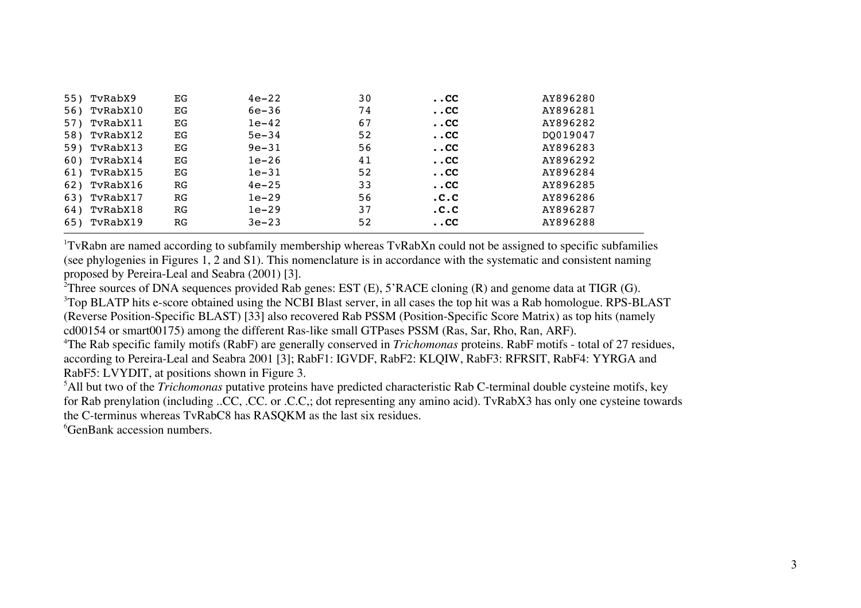| 55) | TvRabX9  | EG | $4e-22$   | 30 | $\ldots$ CC $\,$ | AY896280 |
|-----|----------|----|-----------|----|------------------|----------|
| 56) | TvRabX10 | EG | $6e-36$   | 74 | $\ldots$ CC      | AY896281 |
| 57) | TvRabX11 | EG | $1e-42$   | 67 | $\ldots$ CC      | AY896282 |
| 58) | TvRabX12 | EG | $5e - 34$ | 52 | $\ldots$ CC      | DO019047 |
| 59) | TvRabX13 | EG | $9e - 31$ | 56 | $\ldots$ CC $\,$ | AY896283 |
| 60) | TvRabX14 | EG | $1e-26$   | 41 | $\ldots$ CC $\,$ | AY896292 |
| 61) | TvRabX15 | EG | $1e-31$   | 52 | $\ldots$ CC      | AY896284 |
| 62) | TvRabX16 | RG | $4e - 25$ | 33 | $\ldots$ CC $\,$ | AY896285 |
| 63) | TvRabX17 | RG | $1e-29$   | 56 | .C.C             | AY896286 |
| 64) | TvRabX18 | RG | $1e-29$   | 37 | .C.C             | AY896287 |
| 65) | TvRabX19 | RG | $3e-23$   | 52 | $\ldots$ CC $\,$ | AY896288 |

<sup>1</sup>TvRabn are named according to subfamily membership whereas TvRabXn could not be assigned to specific subfamilies (see phylogenies in Figures 1, 2 and S1). This nomenclature is in accordance with the systematic and consistent naming proposed by Pereira-Leal and Seabra (2001) [3].

<sup>2</sup>Three sources of DNA sequences provided Rab genes: EST  $(E)$ , 5'RACE cloning  $(R)$  and genome data at TIGR  $(G)$ .

<sup>3</sup>Top BLATP hits e-score obtained using the NCBI Blast server, in all cases the top hit was a Rab homologue. RPS-BLAST (Reverse Position-Specific BLAST) [33] also recovered Rab PSSM (Position-Specific Score Matrix) as top hits (namely cd00154 or smart00175) among the different Ras-like small GTPases PSSM (Ras, Sar, Rho, Ran, ARF).

4 The Rab specific family motifs (RabF) are generally conserved in *Trichomonas* proteins. RabF motifs - total of 27 residues, according to Pereira-Leal and Seabra 2001 [3]; RabF1: IGVDF, RabF2: KLQIW, RabF3: RFRSIT, RabF4: YYRGA and RabF5: LVYDIT, at positions shown in Figure 3.

5 All but two of the *Trichomonas* putative proteins have predicted characteristic Rab C-terminal double cysteine motifs, key for Rab prenylation (including ..CC, .CC. or .C.C,; dot representing any amino acid). TvRabX3 has only one cysteine towards the C-terminus whereas TvRabC8 has RASQKM as the last six residues.

6 GenBank accession numbers.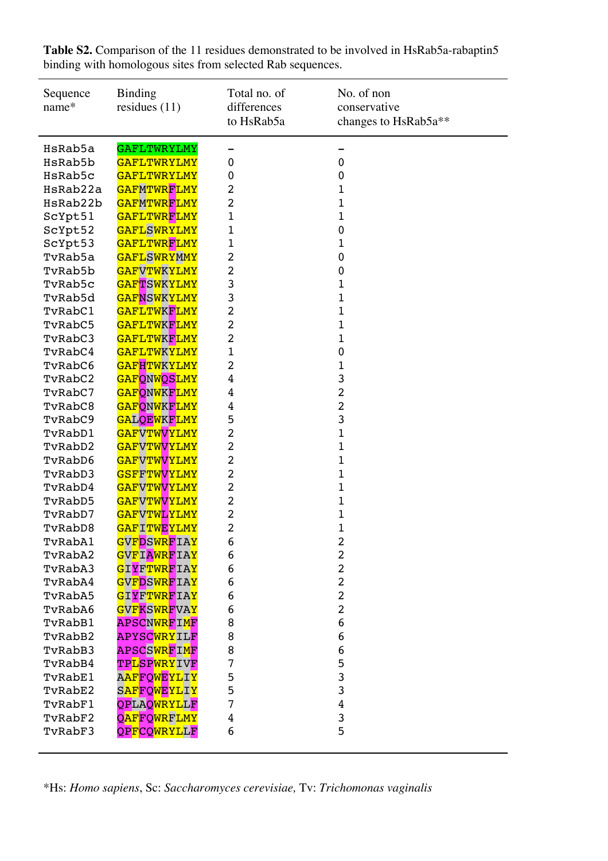| Sequence<br>name*  | <b>Binding</b><br>residues $(11)$              | Total no. of<br>differences<br>to HsRab5a | No. of non<br>conservative<br>changes to HsRab5a** |
|--------------------|------------------------------------------------|-------------------------------------------|----------------------------------------------------|
| HsRab5a            | <b>GAFLTWRYLMY</b>                             |                                           |                                                    |
| HsRab5b            | <b>GAFLTWRYLMY</b>                             | 0                                         | 0                                                  |
| HsRab5c            | <b>GAFLTWRYLMY</b>                             | 0                                         | 0                                                  |
| HsRab22a           | <b>GAFMTWRFLMY</b>                             | 2                                         | 1                                                  |
| HsRab22b           | <b>GAFMTWRFLMY</b>                             | 2                                         | 1                                                  |
| ScYpt51            | <b>GAFLTWRFLMY</b>                             | 1                                         | 1                                                  |
| ScYpt52            | <b>GAFLSWRYLMY</b>                             | 1                                         | 0                                                  |
| ScYpt53            | <b>GAFLTWRFLMY</b>                             | 1                                         | 1                                                  |
| TvRab5a            | <b>GAFLSWRYMMY</b>                             | 2                                         | 0                                                  |
| TvRab5b            | <b>GAFVTWKYLMY</b>                             | 2                                         | 0                                                  |
| TvRab5c            | <b>GAFTSWKYLMY</b>                             | 3                                         | 1                                                  |
| TvRab5d            | <b>GAFNSWKYLMY</b>                             | 3                                         | 1                                                  |
| TvRabC1            | <b>GAFLTWKFLMY</b>                             | 2                                         | 1                                                  |
| TvRabC5            | <b>GAFLTWKFLMY</b>                             | 2                                         | 1                                                  |
| TvRabC3            | <b>GAFLTWKFLMY</b>                             | 2                                         | 1                                                  |
| TvRabC4<br>TvRabC6 | <b>GAFLTWKYLMY</b><br><b>GAFHTWKYLMY</b>       | 1<br>2                                    | $\mathbf 0$                                        |
|                    |                                                |                                           | 1<br>3                                             |
| TvRabC2<br>TvRabC7 | <b>GAFQNWQSLMY</b>                             | 4                                         | $\overline{c}$                                     |
| TvRabC8            | <b>GAFQNWKFLMY</b><br><mark>GAFQNWKFLMY</mark> | 4                                         | $\overline{c}$                                     |
| TvRabC9            | <b>GALQEWKFLMY</b>                             | 4<br>5                                    | 3                                                  |
| TvRabD1            | <b>GAFVTWVYLMY</b>                             | 2                                         | 1                                                  |
| TvRabD2            | <b>GAFVTWVYLMY</b>                             | 2                                         | $\mathbf 1$                                        |
| TvRabD6            | <b>GAFVTWVYLMY</b>                             | 2                                         | 1                                                  |
| TvRabD3            | <b>GSFFTWVYLMY</b>                             | 2                                         | 1                                                  |
| TvRabD4            | <b>GAFVTWVYLMY</b>                             | 2                                         | 1                                                  |
| TvRabD5            | <mark>GAFVTWVYLMY</mark>                       | 2                                         | 1                                                  |
| TvRabD7            | <b>GAFVTWLYLMY</b>                             | 2                                         | $\mathbf 1$                                        |
| TvRabD8            | <mark>GAF</mark> ITWEYLMY                      | 2                                         | 1                                                  |
| TvRabA1            | GVFDSWRFIAY                                    | 6                                         | 2                                                  |
| TvRabA2            | GVFIAWRFIAY                                    | 6                                         | $\overline{c}$                                     |
| TvRabA3            | GIYFTWRFIAY                                    | 6                                         | $\overline{c}$                                     |
| TvRabA4            | <b>GVFDSWRFIAY</b>                             | 6                                         | $\overline{c}$                                     |
| TvRabA5            | <mark>GIYFTWRF</mark> IAY                      | 6                                         | $\overline{c}$                                     |
| TvRabA6            | GVFKSWRFVAY                                    | 6                                         | $\overline{c}$                                     |
| TvRabB1            | APSCNWRFIMF                                    | 8                                         | 6                                                  |
| TvRabB2            | APYSCWRYILF                                    | 8                                         | 6                                                  |
| TvRabB3            | APSCSWRFIMF                                    | 8                                         | 6                                                  |
| TvRabB4            | TP <mark>LSPWRY</mark> IVF                     | 7                                         | 5                                                  |
| TvRabE1            | A <mark>AFFQWEYLIY</mark>                      | 5                                         | 3                                                  |
| TvRabE2            | SAFFOWEYLIY                                    | 5                                         | 3                                                  |
| TvRabF1            | <b>QPLAQWRYLLF</b>                             | 7                                         | $\overline{4}$                                     |
| TvRabF2            | <b>QAFFQWRFLMY</b>                             | 4                                         | 3                                                  |
| TvRabF3            | QPFCQWRYLLF                                    | 6                                         | 5                                                  |
|                    |                                                |                                           |                                                    |

**Table S2.** Comparison of the 11 residues demonstrated to be involved in HsRab5a-rabaptin5 binding with homologous sites from selected Rab sequences.

\*Hs: *Homo sapiens*, Sc: *Saccharomyces cerevisiae,* Tv: *Trichomonas vaginalis*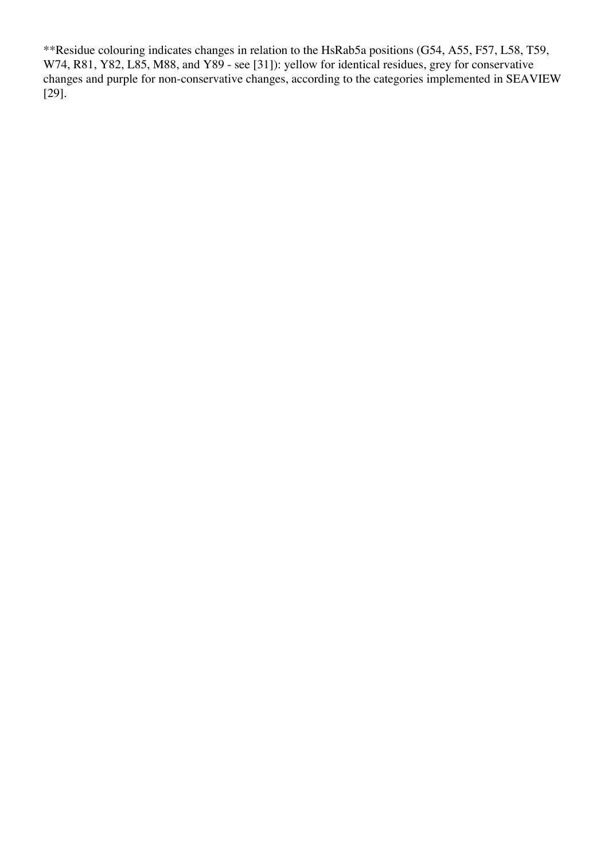\*\*Residue colouring indicates changes in relation to the HsRab5a positions (G54, A55, F57, L58, T59, W74, R81, Y82, L85, M88, and Y89 - see [31]): yellow for identical residues, grey for conservative changes and purple for non-conservative changes, according to the categories implemented in SEAVIEW [29].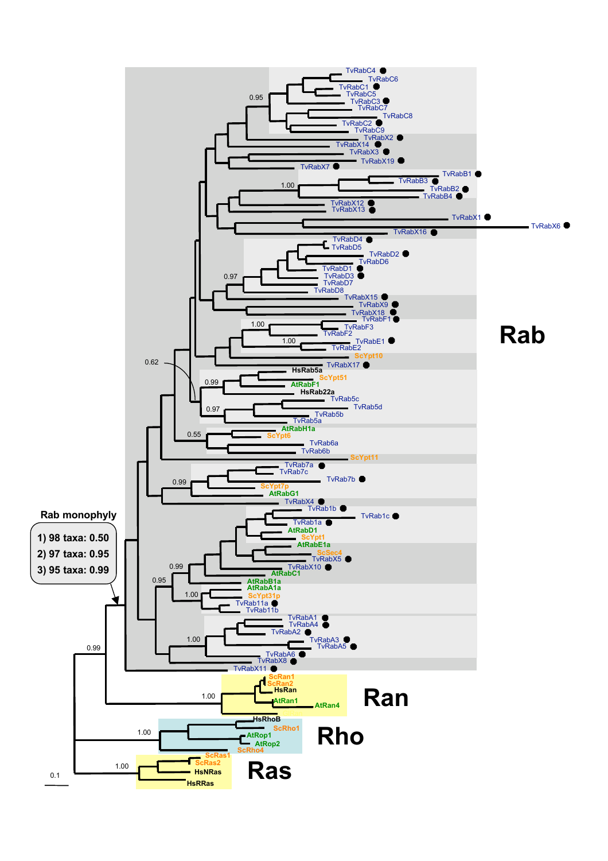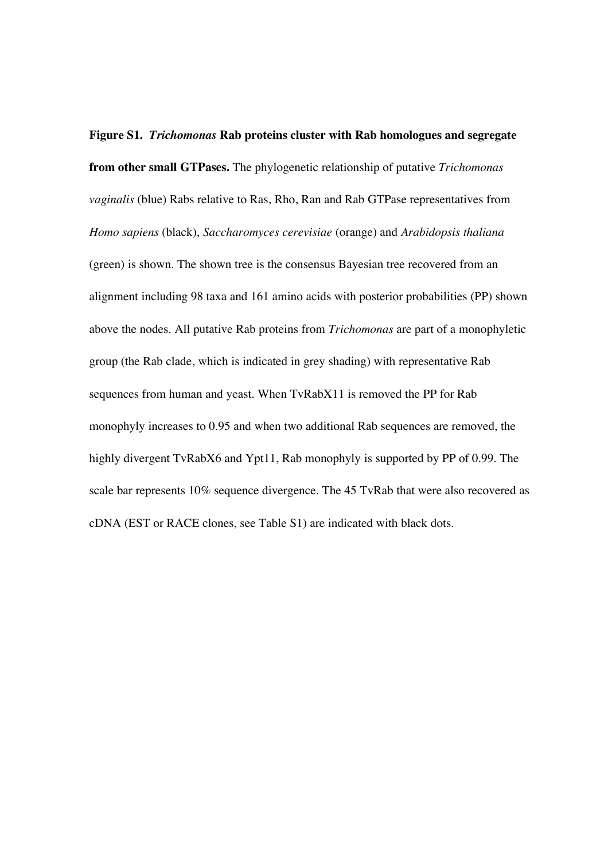**Figure S1.** *Trichomonas* **Rab proteins cluster with Rab homologues and segregate from other small GTPases.** The phylogenetic relationship of putative *Trichomonas vaginalis* (blue) Rabs relative to Ras, Rho, Ran and Rab GTPase representatives from *Homo sapiens* (black), *Saccharomyces cerevisiae* (orange) and *Arabidopsis thaliana* (green) is shown. The shown tree is the consensus Bayesian tree recovered from an alignment including 98 taxa and 161 amino acids with posterior probabilities (PP) shown above the nodes. All putative Rab proteins from *Trichomonas* are part of a monophyletic group (the Rab clade, which is indicated in grey shading) with representative Rab sequences from human and yeast. When TvRabX11 is removed the PP for Rab monophyly increases to 0.95 and when two additional Rab sequences are removed, the highly divergent TvRabX6 and Ypt11, Rab monophyly is supported by PP of 0.99. The scale bar represents 10% sequence divergence. The 45 TvRab that were also recovered as cDNA (EST or RACE clones, see Table S1) are indicated with black dots.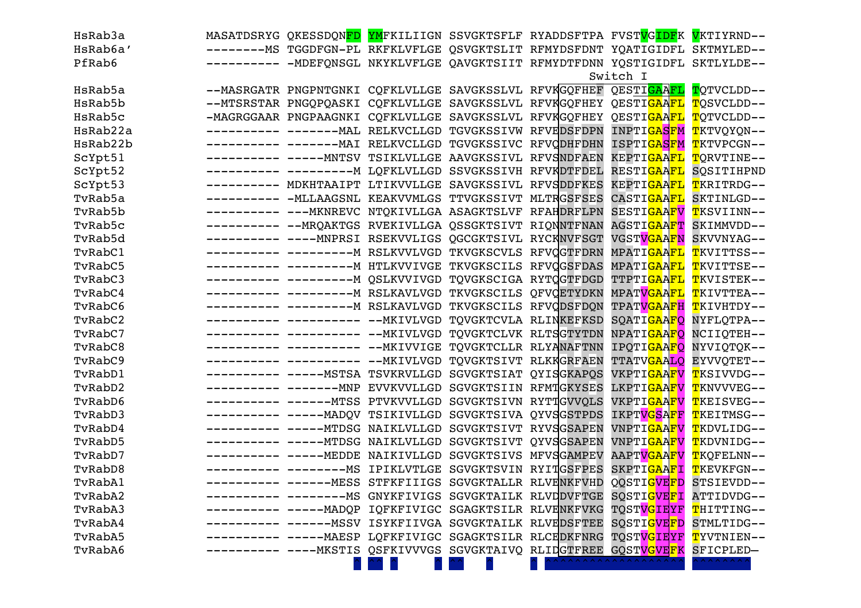| HsRab3a  |             |                                                                                 |  | MASATDSRYG QKESSDQN <mark>FD YM</mark> FKILIIGN SSVGKTSFLF RYADDSFTPA FVST <mark>VGIDF</mark> K VKTIYRND-- |                                      |
|----------|-------------|---------------------------------------------------------------------------------|--|------------------------------------------------------------------------------------------------------------|--------------------------------------|
| HsRab6a' |             |                                                                                 |  | ---------MS TGGDFGN-PL RKFKLVFLGE QSVGKTSLIT RFMYDSFDNT YQATIGIDFL SKTMYLED--                              |                                      |
| PfRab6   | ----------- |                                                                                 |  | -MDEFONSGL NKYKLVFLGE QAVGKTSIIT RFMYDTFDNN YOSTIGIDFL SKTLYLDE--                                          |                                      |
|          |             |                                                                                 |  | Switch I                                                                                                   |                                      |
| HsRab5a  |             | --MASRGATR PNGPNTGNKI CQFKLVLLGE SAVGKSSLVL RFVKGQFHEF QESTI <mark>GAAFL</mark> |  |                                                                                                            | TQTVCLDD--                           |
| HsRab5b  |             | --MTSRSTAR PNGQPQASKI CQFKLVLLGE SAVGKSSLVL RFVKGQFHEY QESTI <mark>GAAFL</mark> |  |                                                                                                            | TOSVCLDD--                           |
| HsRab5c  |             | -MAGRGGAAR PNGPAAGNKI CQFKLVLLGE SAVGKSSLVL RFVKGQFHEY                          |  | QESTI <mark>GAAFL</mark>                                                                                   | TQTVCLDD--                           |
| HsRab22a |             | ---------- -------MAL RELKVCLLGD TGVGKSSIVW RFVEDSFDPN                          |  | INPTI <mark>GASFM T</mark> KTVQYQN--                                                                       |                                      |
| HsRab22b |             |                                                                                 |  | ISPTI <mark>GASFM T</mark> KTVPCGN--                                                                       |                                      |
| ScYpt51  |             | --------- ----- MNTSV TSIKLVLLGE AAVGKSSIVL RFVSNDFAEN                          |  | KEPTI <mark>GAAFL</mark>                                                                                   | TQRVTINE--                           |
| ScYpt52  |             | ---------- -------------- H LQFKLVLLGD SSVGKSSIVH RFVKDTFDEL                    |  | RESTI <mark>GAAFL</mark>                                                                                   | SOSITIHPND                           |
| ScYpt53  |             | --------- MDKHTAAIPT LTIKVVLLGE SAVGKSSIVL RFVSDDFKES                           |  | KEPTI <mark>GAAFL</mark>                                                                                   | TKRITRDG--                           |
| TvRab5a  |             | --------- -MLLAAGSNL KEAKVVMLGS TTVGKSSIVT MLTRGSFSES                           |  | CASTI <mark>GAAFL</mark>                                                                                   | SKTINLGD--                           |
| TvRab5b  |             | --------- --- MKNREVC NTQKIVLLGA ASAGKTSLVF RFAHDRFLPN                          |  | SESTI <mark>GAAFV</mark>                                                                                   | <mark>T</mark> KSVIINN--             |
| TvRab5c  |             | ---------- -- MRQAKTGS RVEKIVLLGA QSSGKTSIVT RIQNNTFNAN                         |  | AGSTI <mark>GAAFT</mark>                                                                                   | SKIMMVDD--                           |
| TvRab5d  |             | --------- ---- MNPRSI RSEKVVLIGS QGCGKTSIVL RYCKNVFSGT                          |  | VGSTVGAAFN                                                                                                 | SKVVNYAG--                           |
| TvRabC1  |             | ---------- ----------- RSLKVVLVGD TKVGKSCVLS RFVQGTFDRN                         |  | MPATI <mark>GAAFL</mark>                                                                                   | <mark>T</mark> KVITTSS--             |
| TvRabC5  |             | ---------- ---------- M HTLKVVIVGE TKVGKSCILS RFVQGSFDAS                        |  | MPATI <mark>GAAFL</mark>                                                                                   | <mark>T</mark> KVITTSE--             |
| TvRabC3  |             | ---------- ----------- QSLKVVIVGD TQVGKSCIGA RYTQGTFDGD                         |  | TTPTI <mark>GAAFL</mark>                                                                                   | <mark>T</mark> KVISTEK--             |
| TvRabC4  |             | ---------- ------------ RSLKAVLVGD TKVGKSCILS QFVQETYDKN                        |  | MPAT <mark>VGAAFL</mark>                                                                                   | <mark>T</mark> KIVTTEA--             |
| TvRabC6  |             | ---------- ------------ RSLKAVLVGD TKVGKSCILS RFVQDSFDQN                        |  | TPAT <mark>VGAAFH T</mark> KIVHTDY--                                                                       |                                      |
| TvRabC2  |             | ---------- ---------- -- MKIVLVGD TQVGKTCVLA RLINKEFKSD                         |  | SQATIGAAFQ NYFLQTPA--                                                                                      |                                      |
| TvRabC7  |             | ---------- ---------- -- MKIVLVGD TQVGKTCLVK RLTSGTYTDN                         |  | NPATI <mark>GAAFO</mark> NCIIOTEH--                                                                        |                                      |
| TvRabC8  |             | ---------- ---------- -- MKIVVIGE TQVGKTCLLR RLYANAFTNN                         |  | IPOTIGAAFO NYVIOTOK--                                                                                      |                                      |
| TvRabC9  |             | ---------- ---------- -- MKIVLVGD TQVGKTSIVT RLKKGRFAEN                         |  | TTATVGAALO EYVVOTET--                                                                                      |                                      |
| TvRabD1  |             | ---------- ----- MSTSA TSVKRVLLGD SGVGKTSIAT QYISGKAPQS                         |  |                                                                                                            | VKPTI <mark>GAAFV T</mark> KSIVVDG-- |
| TvRabD2  |             |                                                                                 |  | LKPTIGAAFV TKNVVVEG--                                                                                      |                                      |
| TvRabD6  |             | ---------- ------ MTSS PTVKVVLLGD SGVGKTSIVN RYTTGVVQLS                         |  | VKPTI <mark>GAAFV T</mark> KEISVEG--                                                                       |                                      |
| TvRabD3  |             | ---------- ----- MADQV TSIKIVLLGD SGVGKTSIVA QYVSGSTPDS                         |  | IKPTV <mark>GSAFF T</mark> KEITMSG--                                                                       |                                      |
| TvRabD4  |             | ---------- ----- MTDSG NAIKLVLLGD SGVGKTSIVT RYVSGSAPEN                         |  | VNPTI <mark>GAAFV T</mark> KDVLIDG--                                                                       |                                      |
| TvRabD5  |             | -----MTDSG NAIKLVLLGD SGVGKTSIVT OYVSGSAPEN                                     |  | VNPTI <mark>GAAFV T</mark> KDVNIDG--                                                                       |                                      |
| TvRabD7  |             | ---------- ----- MEDDE NAIKIVLLGD SGVGKTSIVS MFVSGAMPEV                         |  | AAPT <mark>VGAAFV T</mark> KQFELNN--                                                                       |                                      |
| TvRabD8  |             | ---------- ------------- MS IPIKLVTLGE SGVGKTSVIN RYITGSFPES                    |  | SKPTI <mark>GAAFI T</mark> KEVKFGN--                                                                       |                                      |
| TvRabA1  |             | ---------- ------MESS STFKFIIIGS SGVGKTALLR RLVENKFVHD                          |  | QQSTI <mark>GVEFD</mark> STSIEVDD--                                                                        |                                      |
| TvRabA2  |             |                                                                                 |  | -------MS GNYKFIVIGS SGVGKTAILK RLVDDVFTGE SQSTI <mark>GVEFI</mark> ATTIDVDG--                             |                                      |
| TvRabA3  |             | -----MADQP IQFKFIVIGC SGAGKTSILR RLVENKFVKG                                     |  | TOST <mark>VGIEYF T</mark> HITTING--                                                                       |                                      |
| TvRabA4  |             |                                                                                 |  | ------MSSV ISYKFIIVGA SGVGKTAILK RLVEDSFTEE SQSTI <mark>GVEFD</mark> STMLTIDG--                            |                                      |
| TvRabA5  |             |                                                                                 |  | ----MAESP LQFKFIVIGC SGAGKTSILR RLCEDKFNRG TQST <mark>VGIEYF T</mark> YVTNIEN--                            |                                      |
| TvRabA6  |             | --MKSTIS QSFKIVVVGS SGVGKTAIVQ RLIDGTFREE GQST <mark>VGVE</mark> FK             |  |                                                                                                            | SFICPLED-                            |
|          |             |                                                                                 |  |                                                                                                            | <b>AAAAAA/</b>                       |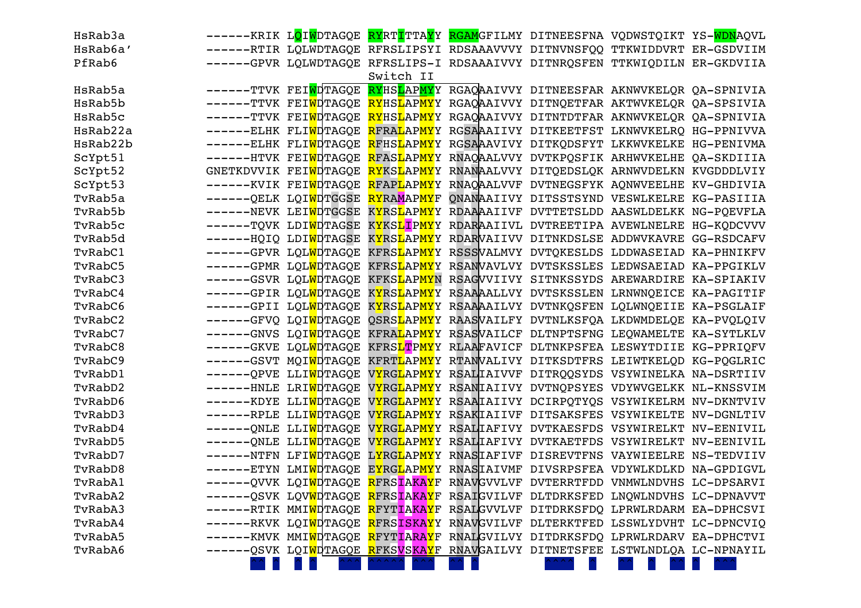| HsRab3a  |                                                 |           | ------KRIK L <mark>Q</mark> I <mark>W</mark> DTAGQE <mark>RY</mark> RT <mark>I</mark> TTA <mark>Y</mark> Y <mark>RGAM</mark> GFILMY DITNEESFNA VQDWSTQIKT YS- <mark>WDN</mark> AQVL |  |  |
|----------|-------------------------------------------------|-----------|-------------------------------------------------------------------------------------------------------------------------------------------------------------------------------------|--|--|
| HsRab6a' |                                                 |           | ------RTIR LQLWDTAGQE RFRSLIPSYI RDSAAAVVVY DITNVNSFQQ TTKWIDDVRT ER-GSDVIIM                                                                                                        |  |  |
| PfRab6   |                                                 |           | ------GPVR LQLWDTAGQE RFRSLIPS-I RDSAAAIVVY DITNRQSFEN TTKWIQDILN ER-GKDVIIA                                                                                                        |  |  |
|          |                                                 | Switch II |                                                                                                                                                                                     |  |  |
| HsRab5a  |                                                 |           | ------TTVK FEI <mark>W</mark> DTAGQE RYHSLAPMYY RGAQAAIVVY DITNEESFAR AKNWVKELQR QA-SPNIVIA                                                                                         |  |  |
| HsRab5b  |                                                 |           | ------TTVK FEI <mark>W</mark> DTAGQE <mark>RY</mark> HS <mark>L</mark> AP <mark>MY</mark> Y RGAQAAIVVY DITNQETFAR AKTWVKELQR QA-SPSIVIA                                             |  |  |
| HsRab5c  |                                                 |           | ------TTVK FEI <mark>WD</mark> TAGQE <mark>RY</mark> HS <mark>L</mark> AP <mark>MY</mark> Y RGAQAAIVVY DITNTDTFAR AKNWVKELQR QA-SPNIVIA                                             |  |  |
| HsRab22a |                                                 |           | -------ELHK FLI <mark>WD</mark> TAGQE <mark>RFRAL</mark> AP <mark>MY</mark> Y RGSAAAIIVY DITKEETFST LKNWVKELRQ HG-PPNIVVA                                                           |  |  |
| HsRab22b |                                                 |           | -------ELHK FLI <mark>W</mark> DTAGQE <mark>RFHSL</mark> AP <mark>MY</mark> Y RGSAAAVIVY DITKQDSFYT LKKWVKELKE HG-PENIVMA                                                           |  |  |
| ScYpt51  |                                                 |           | ------HTVK FEI <mark>W</mark> DTAGQE <mark>RFASL</mark> AP <mark>MY</mark> Y RNAQAALVVY DVTKPQSFIK ARHWVKELHE QA-SKDIIIA                                                            |  |  |
| ScYpt52  |                                                 |           | GNETKDVVIK FEI <mark>W</mark> DTAGQE <mark>RYKSL</mark> AP <mark>MY</mark> Y RNANAALVVY DITQEDSLQK ARNWVDELKN KVGDDDLVIY                                                            |  |  |
| ScYpt53  |                                                 |           | ------KVIK FEI <mark>W</mark> DTAGQE <mark>RFAPLAPMY</mark> Y RNAQAALVVF DVTNEGSFYK AQNWVEELHE KV-GHDIVIA                                                                           |  |  |
| TvRab5a  | ------QELK LQI <mark>WD</mark> TGGSE RYRAMAPMYF |           | QNANAAIIVY DITSSTSYND VESWLKELRE KG-PASIIIA                                                                                                                                         |  |  |
| TvRab5b  |                                                 |           | ------NEVK LEI <mark>WD</mark> TGGSE K <mark>Y</mark> RS <mark>L</mark> AP <mark>MY</mark> Y RDAAAAIIVF DVTTETSLDD AASWLDELKK NG-PQEVFLA                                            |  |  |
| TvRab5c  |                                                 |           | ------TQVK LDI <mark>WD</mark> TAGSE KYKS <mark>LIPMY</mark> Y RDARAAIIVL DVTREETIPA AVEWLNELRE HG-KQDCVVV                                                                          |  |  |
| TvRab5d  |                                                 |           | ------HQIQ LDI <mark>W</mark> DTAGSE K <mark>Y</mark> RS <mark>L</mark> AP <mark>MY</mark> Y RDARVAIIVV DITNKDSLSE ADDWVKAVRE GG-RSDCAFV                                            |  |  |
| TvRabC1  |                                                 |           | ------GPVR LQL <mark>W</mark> DTAGQE KFRS <mark>L</mark> AP <mark>MY</mark> Y RSSSVALMVY DVTQKESLDS LDDWASEIAD KA-PHNIKFV                                                           |  |  |
| TvRabC5  |                                                 |           | ------GPMR LQL <mark>W</mark> DTAGQE KFRS <mark>L</mark> AP <mark>MY</mark> Y RSANVAVLVY DVTSKSSLES LEDWSAEIAD KA-PPGIKLV                                                           |  |  |
| TvRabC3  |                                                 |           | ------GSVR LQL <mark>W</mark> DTAGQE KFKS <mark>L</mark> AP <mark>MY</mark> N RSAGVVIIVY SITNKSSYDS AREWARDIRE KA-SPIAKIV                                                           |  |  |
| TvRabC4  |                                                 |           | ------GPIR LQL <mark>W</mark> DTAGQE KYRS <mark>L</mark> APMYY RSAAAALLVY DVTSKSSLEN LRNWNQEICE KA-PAGITIF                                                                          |  |  |
| TvRabC6  |                                                 |           | ------GPII LQL <mark>W</mark> DTAGQE K <mark>YRSL</mark> AP <mark>MY</mark> Y RSAAAAILVY DVTNKQSFEN LQLWNQEIIE KA-PSGLAIF                                                           |  |  |
| TvRabC2  |                                                 |           | ------GFVQ LQI <mark>W</mark> DTAGQE QSRS <mark>L</mark> AP <mark>MY</mark> Y RAASVAILFY DVTNLKSFQA LKDWMDELQE KA-PVQLQIV                                                           |  |  |
| TvRabC7  |                                                 |           | ------GNVS LQI <mark>W</mark> DTAGQE KFRA <mark>L</mark> APMYY RSASVAILCF DLTNPTSFNG LEQWAMELTE KA-SYTLKLV                                                                          |  |  |
| TvRabC8  |                                                 |           | ------GKVE LQL <mark>W</mark> DTAGQE KFRS <mark>LTPMY</mark> Y RLAAFAVICF DLTNKPSFEA LESWYTDIIE KG-PPRIQFV                                                                          |  |  |
| TvRabC9  |                                                 |           | ------GSVT MQI <mark>W</mark> DTAGQE KFRT <mark>L</mark> AP <mark>MY</mark> Y RTANVALIVY DITKSDTFRS LEIWTKELQD KG-PQGLRIC                                                           |  |  |
| TvRabD1  |                                                 |           | ------QPVE LLI <mark>W</mark> DTAGQE V <mark>YRGL</mark> AP <mark>MY</mark> Y RSALIAIVVF DITRQQSYDS VSYWINELKA NA-DSRTIIV                                                           |  |  |
| TvRabD2  |                                                 |           | -------HNLE LRI <mark>W</mark> DTAGQE V <mark>YRGL</mark> AP <mark>MY</mark> Y RSANIAIIVY DVTNQPSYES VDYWVGELKK NL-KNSSVIM                                                          |  |  |
| TvRabD6  |                                                 |           | ------KDYE LLI <mark>W</mark> DTAGQE V <mark>Y</mark> RG <mark>L</mark> AP <mark>MY</mark> Y RSAAIAIIVY DCIRPQTYQS VSYWIKELRM NV-DKNTVIV                                            |  |  |
| TvRabD3  | ------RPLE LLI <mark>WD</mark> TAGQE            |           | VYRGLAPMYY RSAKIAIIVF DITSAKSFES VSYWIKELTE NV-DGNLTIV                                                                                                                              |  |  |
| TvRabD4  | ------ONLE LLI <mark>WD</mark> TAGOE            |           | VYRGLAPMYY RSALIAFIVY DVTKAESFDS VSYWIRELKT NV-EENIVIL                                                                                                                              |  |  |
| TvRabD5  | ------QNLE LLI <mark>W</mark> DTAGQE            |           | VYRGLAPMYY RSALIAFIVY DVTKAETFDS VSYWIRELKT NV-EENIVIL                                                                                                                              |  |  |
| TvRabD7  |                                                 |           | ------NTFN LFI <mark>W</mark> DTAGQE L <mark>YRGL</mark> AP <mark>MY</mark> Y RNASIAFIVF DISREVTFNS VAYWIEELRE NS-TEDVIIV                                                           |  |  |
| TvRabD8  |                                                 |           | -------ETYN LMI <mark>W</mark> DTAGQE E <mark>Y</mark> RG <mark>L</mark> AP <mark>MY</mark> Y RNASIAIVMF DIVSRPSFEA VDYWLKDLKD NA-GPDIGVL                                           |  |  |
| TvRabA1  |                                                 |           | ------QVVK LQI <mark>W</mark> DTAGQE <mark>RFRSIAKAY</mark> F RNAVGVVLVF DVTERRTFDD VNMWLNDVHS LC-DPSARVI                                                                           |  |  |
| TvRabA2  |                                                 |           | -QSVK LQV <mark>W</mark> DTAGQE <mark>RFRSIAKAY</mark> F RSAIGVILVF DLTDRKSFED LNQWLNDVHS LC-DPNAVVT                                                                                |  |  |
| TvRabA3  |                                                 |           | --RTIK MMI <mark>W</mark> DTAGQE <mark>RFYTIAKAY</mark> F RSAL <mark>GVVLVF DITDRKSFDQ LPRWLRDARM EA-DPHCSVI</mark>                                                                 |  |  |
| TvRabA4  |                                                 |           | -RKVK LQI <mark>W</mark> DTAGQE <mark>RFRSISKAY</mark> Y RNAVGVILVF DLTERKTFED LSSWLYDVHT LC-DPNCVIQ                                                                                |  |  |
| TvRabA5  |                                                 |           | -KMVK MMI <mark>W</mark> DTAGQE <mark>R</mark> FYT <b>IARAY</b> F RNAL <mark>GVILVY DITDRKSFDQ LPRWLRDARV EA-DPHCTVI</mark>                                                         |  |  |
| TvRabA6  |                                                 |           | -QSVK LQI <mark>W</mark> DTAGQE <mark>R</mark> FKS <mark>VSKAY</mark> F RNAVGAILVY DITNETSFEE LSTWLNDLQA LC-NPNAYIL                                                                 |  |  |
|          |                                                 |           |                                                                                                                                                                                     |  |  |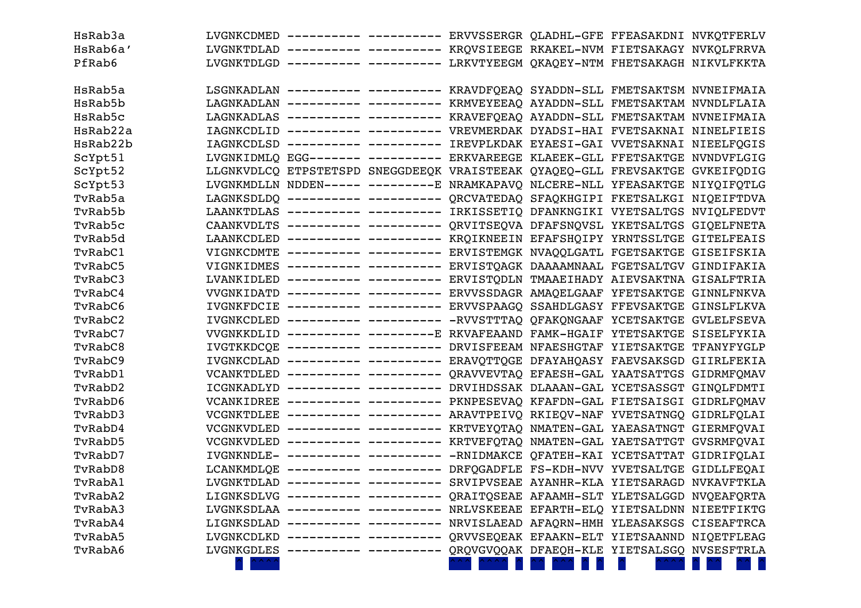| HsRab3a  |                                     | LVGNKCDMED ---------- --------- ERVVSSERGR QLADHL-GFE FFEASAKDNI NVKQTFERLV  |  |                                             |  |
|----------|-------------------------------------|------------------------------------------------------------------------------|--|---------------------------------------------|--|
| HsRab6a' |                                     | LVGNKTDLAD ---------- --------- KRQVSIEEGE RKAKEL-NVM FIETSAKAGY NVKQLFRRVA  |  |                                             |  |
| PfRab6   |                                     | LVGNKTDLGD ---------- --------- LRKVTYEEGM QKAQEY-NTM FHETSAKAGH NIKVLFKKTA  |  |                                             |  |
|          |                                     |                                                                              |  |                                             |  |
| HsRab5a  |                                     | LSGNKADLAN ---------- --------- KRAVDFQEAQ SYADDN-SLL FMETSAKTSM NVNEIFMAIA  |  |                                             |  |
| HsRab5b  |                                     | LAGNKADLAN ---------- --------- KRMVEYEEAQ AYADDN-SLL FMETSAKTAM NVNDLFLAIA  |  |                                             |  |
| HsRab5c  |                                     | LAGNKADLAS ---------- --------- KRAVEFQEAQ AYADDN-SLL FMETSAKTAM NVNEIFMAIA  |  |                                             |  |
| HsRab22a |                                     | IAGNKCDLID ---------- --------- VREVMERDAK DYADSI-HAI FVETSAKNAI NINELFIEIS  |  |                                             |  |
| HsRab22b |                                     | IAGNKCDLSD ---------- --------- IREVPLKDAK EYAESI-GAI VVETSAKNAI NIEELFQGIS  |  |                                             |  |
| ScYpt51  |                                     | LVGNKIDMLO EGG------- --------- ERKVAREEGE KLAEEK-GLL FFETSAKTGE NVNDVFLGIG  |  |                                             |  |
| ScYpt52  |                                     | LLGNKVDLCQ ETPSTETSPD SNEGGDEEQK VRAISTEEAK QYAQEQ-GLL FREVSAKTGE GVKEIFQDIG |  |                                             |  |
| ScYpt53  |                                     | LVGNKMDLLN NDDEN----- ---------E NRAMKAPAVQ NLCERE-NLL YFEASAKTGE NIYQIFQTLG |  |                                             |  |
| TvRab5a  |                                     | LAGNKSDLDQ ---------- --------- QRCVATEDAQ SFAQKHGIPI FKETSALKGI NIQEIFTDVA  |  |                                             |  |
| TvRab5b  |                                     | LAANKTDLAS ---------- --------- IRKISSETIQ DFANKNGIKI VYETSALTGS NVIQLFEDVT  |  |                                             |  |
| TvRab5c  |                                     | CAANKVDLTS ---------- --------- QRVITSEQVA DFAFSNQVSL YKETSALTGS GIQELFNETA  |  |                                             |  |
| TvRab5d  |                                     | LAANKCDLED ---------- --------- KRQIKNEEIN EFAFSHQIPY YRNTSSLTGE GITELFEAIS  |  |                                             |  |
| TvRabC1  |                                     | VIGNKCDMTE ---------- --------- ERVISTEMGK NVAQQLGATL FGETSAKTGE GISEIFSKIA  |  |                                             |  |
| TvRabC5  |                                     | VIGNKIDMES ---------- --------- ERVISTQAGK DAAAAMNAAL FGETSALTGV GINDIFAKIA  |  |                                             |  |
| TvRabC3  |                                     | LVANKIDLED ---------- --------- ERVISTQDLN TMAAEIHADY AIEVSAKTNA GISALFTRIA  |  |                                             |  |
| TvRabC4  |                                     | VVGNKIDATD ---------- --------- ERVVSSDAGR AMAQELGAAF YFETSAKTGE GINNLFNKVA  |  |                                             |  |
| TvRabC6  |                                     | IVGNKFDCIE ---------- --------- ERVVSPAAGQ SSAHDLGASY FFEVSAKTGE GINSLFLKVA  |  |                                             |  |
| TvRabC2  |                                     | IVGNKCDLED ---------- --------- -RVVSTTTAQ QFAKQNGAAF YCETSAKTGE GVLELFSEVA  |  |                                             |  |
| TvRabC7  |                                     | VVGNKKDLID ---------- ---------E RKVAFEAAND FAMK-HGAIF YTETSAKTGE SISELFYKIA |  |                                             |  |
| TvRabC8  |                                     | IVGTKKDCOE ---------- --------- DRVISFEEAM NFAESHGTAF YIETSAKTGE TFANYFYGLP  |  |                                             |  |
| TvRabC9  |                                     | IVGNKCDLAD ---------- --------- ERAVOTTOGE DFAYAHOASY FAEVSAKSGD GIIRLFEKIA  |  |                                             |  |
| TvRabD1  |                                     | VCANKTDLED ---------- --------- QRAVVEVTAQ EFAESH-GAL YAATSATTGS GIDRMFQMAV  |  |                                             |  |
| TvRabD2  |                                     | ICGNKADLYD ---------- --------- DRVIHDSSAK DLAAAN-GAL YCETSASSGT GINQLFDMTI  |  |                                             |  |
| TvRabD6  |                                     | VCANKIDREE ---------- --------- PKNPESEVAQ KFAFDN-GAL FIETSAISGI GIDRLFQMAV  |  |                                             |  |
| TvRabD3  |                                     | VCGNKTDLEE ---------- --------- ARAVTPEIVQ RKIEQV-NAF YVETSATNGQ GIDRLFQLAI  |  |                                             |  |
| TvRabD4  |                                     | VCGNKVDLED ---------- --------- KRTVEYQTAQ NMATEN-GAL YAEASATNGT GIERMFQVAI  |  |                                             |  |
| TvRabD5  |                                     | VCGNKVDLED ---------- --------- KRTVEFQTAQ NMATEN-GAL YAETSATTGT GVSRMFQVAI  |  |                                             |  |
| TvRabD7  |                                     | IVGNKNDLE- ---------- --------- -RNIDMAKCE QFATEH-KAI YCETSATTAT GIDRIFQLAI  |  |                                             |  |
| TvRabD8  |                                     | LCANKMDLOE ---------- --------- DRFQGADFLE FS-KDH-NVV YVETSALTGE GIDLLFEQAI  |  |                                             |  |
| TvRabA1  |                                     | LVGNKTDLAD ---------- --------- SRVIPVSEAE AYANHR-KLA YIETSARAGD NVKAVFTKLA  |  |                                             |  |
| TvRabA2  |                                     | LIGNKSDLVG ---------- --------- QRAITQSEAE AFAAMH-SLT YLETSALGGD NVQEAFQRTA  |  |                                             |  |
| TvRabA3  |                                     | LVGNKSDLAA ---------- --------- NRLVSKEEAE EFARTH-ELQ YIETSALDNN NIEETFIKTG  |  |                                             |  |
| TvRabA4  |                                     | LIGNKSDLAD ---------- --------- NRVISLAEAD AFAQRN-HMH YLEASAKSGS CISEAFTRCA  |  |                                             |  |
| TvRabA5  |                                     | LVGNKCDLKD ---------- --------- QRVVSEQEAK EFAAKN-ELT YIETSAANND NIQETFLEAG  |  |                                             |  |
| TvRabA6  |                                     | LVGNKGDLES ---------- ---------                                              |  | QRQVGVQQAK DFAEQH-KLE YIETSALSGQ NVSESFTRLA |  |
|          | $\langle$ $\land$ $\land$ $\rangle$ |                                                                              |  |                                             |  |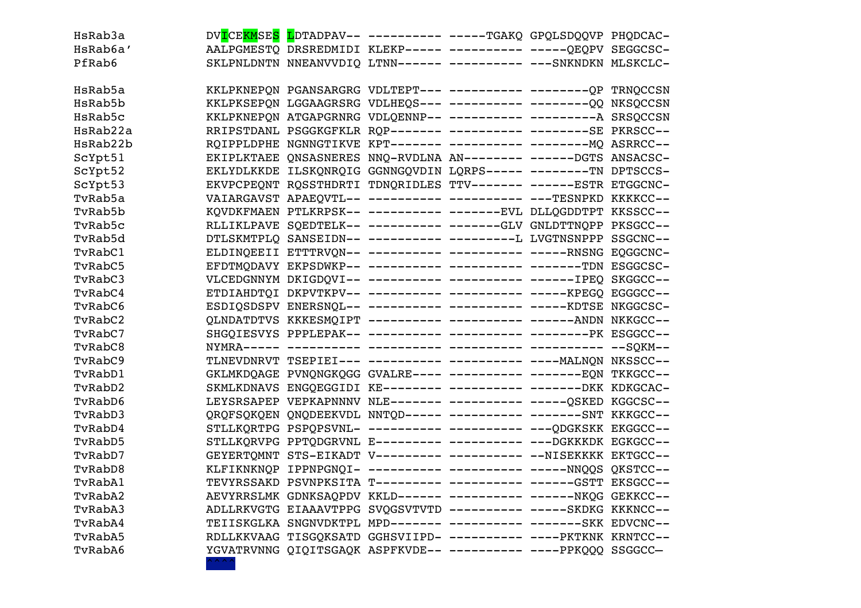| HsRab3a  |  | DVICEKMSES LDTADPAV-- ---------- ----TGAKQ GPQLSDQQVP PHQDCAC-   |  |  |
|----------|--|------------------------------------------------------------------|--|--|
| HsRab6a' |  | AALPGMESTO DRSREDMIDI KLEKP----- ---------- -----QEQPV SEGGCSC-  |  |  |
| PfRab6   |  | SKLPNLDNTN NNEANVVDIQ LTNN------ --------- ---SNKNDKN MLSKCLC-   |  |  |
|          |  |                                                                  |  |  |
| HsRab5a  |  |                                                                  |  |  |
| HsRab5b  |  | KKLPKSEPON LGGAAGRSRG VDLHEOS--- ---------- -------- 00 NKSOCCSN |  |  |
| HsRab5c  |  | KKLPKNEPQN ATGAPGRNRG VDLQENNP-- ---------- --------- A SRSQCCSN |  |  |
| HsRab22a |  | RRIPSTDANL PSGGKGFKLR RQP------- ---------- --------SE PKRSCC--  |  |  |
| HsRab22b |  | ROIPPLDPHE NGNNGTIKVE KPT------- --------- -------- MQ ASRRCC--  |  |  |
| ScYpt51  |  | EKIPLKTAEE QNSASNERES NNQ-RVDLNA AN-------- -----DGTS ANSACSC-   |  |  |
| ScYpt52  |  | EKLYDLKKDE ILSKQNRQIG GGNNGQVDIN LQRPS----- -------TN DPTSCCS-   |  |  |
| ScYpt53  |  | EKVPCPEQNT RQSSTHDRTI TDNQRIDLES TTV------- -----ESTR ETGGCNC-   |  |  |
| TvRab5a  |  | VAIARGAVST APAEQVTL-- ---------- ---------- ---TESNPKD KKKKCC--  |  |  |
| TvRab5b  |  | KQVDKFMAEN PTLKRPSK-- ---------- ------EVL DLLQGDDTPT KKSSCC--   |  |  |
| TvRab5c  |  | RLLIKLPAVE SQEDTELK-- ---------- ------GLV GNLDTTNQPP PKSGCC--   |  |  |
| TvRab5d  |  | DTLSKMTPLQ SANSEIDN-- ---------- ---------L LVGTNSNPPP SSGCNC--  |  |  |
| TvRabC1  |  | ELDINQEEII ETTTRVQN-- ---------- ---------- -----RNSNG EQGGCNC-  |  |  |
| TvRabC5  |  | EFDTMQDAVY EKPSDWKP-- ---------- ---------- -------TDN ESGGCSC-  |  |  |
| TvRabC3  |  | VLCEDGNNYM DKIGDQVI-- ---------- ---------- ------IPEQ SKGGCC--  |  |  |
| TvRabC4  |  | ETDIAHDTQI DKPVTKPV-- ---------- ---------- -----KPEGQ EGGGCC--  |  |  |
| TvRabC6  |  | ESDIQSDSPV ENERSNQL-- ---------- --------- -----KDTSE NKGGCSC-   |  |  |
| TvRabC2  |  | QLNDATDTVS KKKESMQIPT ---------- --------- ------ANDN NKKGCC--   |  |  |
| TvRabC7  |  | SHGQIESVYS PPPLEPAK-- ---------- ---------- --------PK ESGGCC--  |  |  |
| TvRabC8  |  |                                                                  |  |  |
| TvRabC9  |  | TLNEVDNRVT TSEPIEI--- ---------- ---------- ----MALNQN NKSSCC--  |  |  |
| TvRabD1  |  | GKLMKDQAGE PVNQNGKQGG GVALRE---- ---------- -------EQN TKKGCC--  |  |  |
| TvRabD2  |  | SKMLKDNAVS ENGQEGGIDI KE-------- --------- ------DKK KDKGCAC-    |  |  |
| TyRabD6  |  | LEYSRSAPEP VEPKAPNNNV NLE------- --------- -----OSKED KGGCSC--   |  |  |
| TvRabD3  |  | OROFSOKOEN ONODEEKVDL NNTOD----- ---------- ------SNT KKKGCC--   |  |  |
| TvRabD4  |  | STLLKORTPG PSPOPSVNL- ---------- --------- ---ODGKSKK EKGGCC--   |  |  |
| TvRabD5  |  | STLLKQRVPG PPTQDGRVNL E--------- --------- ---DGKKKDK EGKGCC--   |  |  |
| TvRabD7  |  | GEYERTOMNT STS-EIKADT V--------- --------- --NISEKKKK EKTGCC--   |  |  |
| TvRabD8  |  | KLFIKNKNQP IPPNPGNQI- ---------- ---------- -----NNQQS QKSTCC--  |  |  |
| TvRabA1  |  | TEVYRSSAKD PSVNPKSITA T--------- --------- ------GSTT EKSGCC--   |  |  |
| TvRabA2  |  | AEVYRRSLMK GDNKSAQPDV KKLD------ ---------- ------NKQG GEKKCC--  |  |  |
| TvRabA3  |  | ADLLRKVGTG EIAAAVTPPG SVQGSVTVTD ---------- -----SKDKG KKKNCC--  |  |  |
| TvRabA4  |  | TEIISKGLKA SNGNVDKTPL MPD------- ---------- -------SKK EDVCNC--  |  |  |
| TvRabA5  |  | RDLLKKVAAG TISGQKSATD GGHSVIIPD- ---------- ----PKTKNK KRNTCC--  |  |  |
| TvRabA6  |  | YGVATRVNNG QIQITSGAQK ASPFKVDE-- ---------- ----PPKQQQ SSGGCC-   |  |  |

 $\lambda$   $\lambda$   $\lambda$   $\lambda$